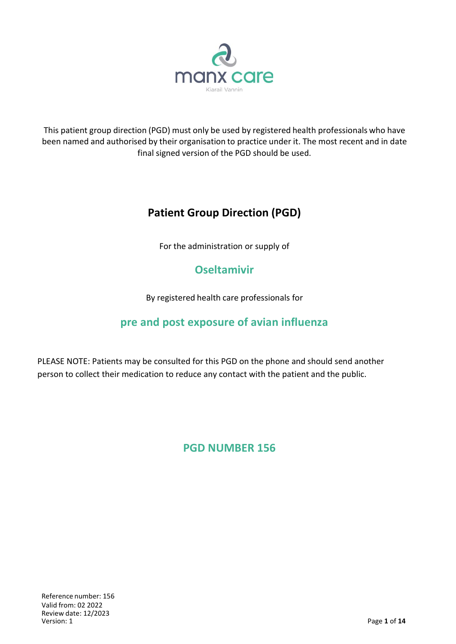

This patient group direction (PGD) must only be used by registered health professionals who have been named and authorised by their organisation to practice under it. The most recent and in date final signed version of the PGD should be used.

# **Patient Group Direction (PGD)**

For the administration or supply of

# **Oseltamivir**

By registered health care professionals for

## **pre and post exposure of avian influenza**

PLEASE NOTE: Patients may be consulted for this PGD on the phone and should send another person to collect their medication to reduce any contact with the patient and the public.

## **PGD NUMBER 156**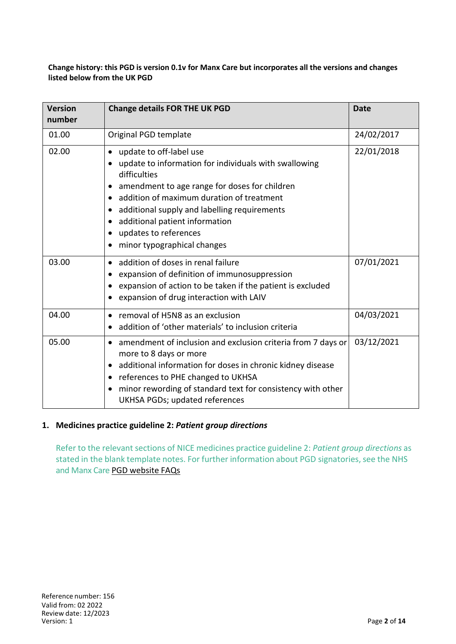**Change history: this PGD is version 0.1v for Manx Care but incorporates all the versions and changes listed below from the UK PGD**

| <b>Version</b><br>number | <b>Change details FOR THE UK PGD</b>                                                                                                                                                                                                                                                                                                                                                                                     | <b>Date</b> |
|--------------------------|--------------------------------------------------------------------------------------------------------------------------------------------------------------------------------------------------------------------------------------------------------------------------------------------------------------------------------------------------------------------------------------------------------------------------|-------------|
| 01.00                    | Original PGD template                                                                                                                                                                                                                                                                                                                                                                                                    | 24/02/2017  |
| 02.00                    | update to off-label use<br>$\bullet$<br>update to information for individuals with swallowing<br>$\bullet$<br>difficulties<br>amendment to age range for doses for children<br>٠<br>addition of maximum duration of treatment<br>$\bullet$<br>additional supply and labelling requirements<br>$\bullet$<br>additional patient information<br>٠<br>updates to references<br>٠<br>minor typographical changes<br>$\bullet$ | 22/01/2018  |
| 03.00                    | addition of doses in renal failure<br>$\bullet$<br>expansion of definition of immunosuppression<br>٠<br>expansion of action to be taken if the patient is excluded<br>$\bullet$<br>expansion of drug interaction with LAIV<br>$\bullet$                                                                                                                                                                                  | 07/01/2021  |
| 04.00                    | removal of H5N8 as an exclusion<br>$\bullet$<br>addition of 'other materials' to inclusion criteria                                                                                                                                                                                                                                                                                                                      | 04/03/2021  |
| 05.00                    | amendment of inclusion and exclusion criteria from 7 days or<br>$\bullet$<br>more to 8 days or more<br>additional information for doses in chronic kidney disease<br>references to PHE changed to UKHSA<br>$\bullet$<br>minor rewording of standard text for consistency with other<br>٠<br><b>UKHSA PGDs; updated references</b>                                                                                        | 03/12/2021  |

#### **1. Medicines practice guideline 2:** *Patient group directions*

Refer to the relevant sections of NICE medicines practice guideline 2: *Patient group directions* as stated in the blank template notes. For further information about PGD signatories, see the NHS and Manx Care PGD website FAQs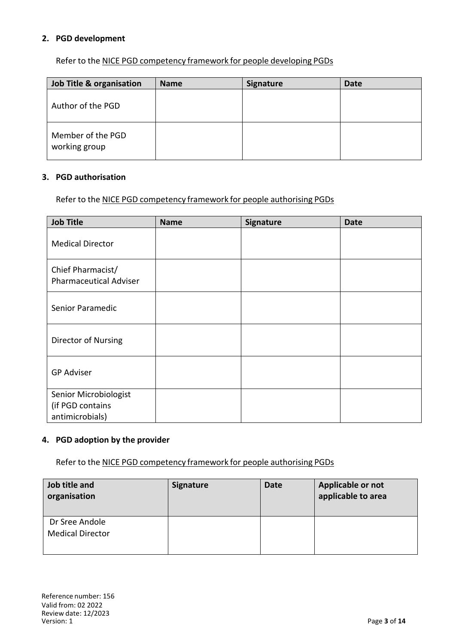### **2. PGD development**

Refer to the NICE PGD competency framework for people developing PGDs

| Job Title & organisation           | <b>Name</b> | <b>Signature</b> | <b>Date</b> |
|------------------------------------|-------------|------------------|-------------|
| Author of the PGD                  |             |                  |             |
| Member of the PGD<br>working group |             |                  |             |

#### **3. PGD authorisation**

Refer to the NICE PGD competency framework for people authorising PGDs

| <b>Job Title</b>                                             | <b>Name</b> | Signature | <b>Date</b> |
|--------------------------------------------------------------|-------------|-----------|-------------|
| <b>Medical Director</b>                                      |             |           |             |
| Chief Pharmacist/<br><b>Pharmaceutical Adviser</b>           |             |           |             |
| Senior Paramedic                                             |             |           |             |
| Director of Nursing                                          |             |           |             |
| <b>GP Adviser</b>                                            |             |           |             |
| Senior Microbiologist<br>(if PGD contains<br>antimicrobials) |             |           |             |

## **4. PGD adoption by the provider**

Refer to the NICE PGD competency framework for people authorising PGDs

| Job title and<br>organisation             | <b>Signature</b> | <b>Date</b> | Applicable or not<br>applicable to area |
|-------------------------------------------|------------------|-------------|-----------------------------------------|
| Dr Sree Andole<br><b>Medical Director</b> |                  |             |                                         |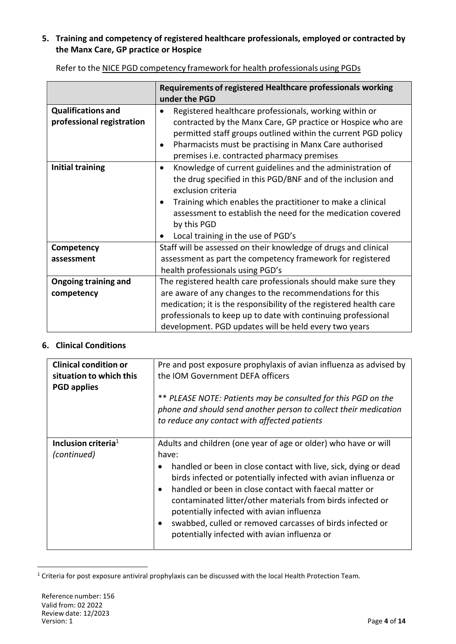## **5. Training and competency of registered healthcare professionals, employed or contracted by the Manx Care, GP practice or Hospice**

|                                                        | Requirements of registered Healthcare professionals working<br>under the PGD                                                                                                                                                                                                                                                                       |  |
|--------------------------------------------------------|----------------------------------------------------------------------------------------------------------------------------------------------------------------------------------------------------------------------------------------------------------------------------------------------------------------------------------------------------|--|
| <b>Qualifications and</b><br>professional registration | Registered healthcare professionals, working within or<br>contracted by the Manx Care, GP practice or Hospice who are<br>permitted staff groups outlined within the current PGD policy<br>Pharmacists must be practising in Manx Care authorised<br>$\bullet$<br>premises i.e. contracted pharmacy premises                                        |  |
| <b>Initial training</b>                                | Knowledge of current guidelines and the administration of<br>$\bullet$<br>the drug specified in this PGD/BNF and of the inclusion and<br>exclusion criteria<br>Training which enables the practitioner to make a clinical<br>٠<br>assessment to establish the need for the medication covered<br>by this PGD<br>Local training in the use of PGD's |  |
| Competency                                             | Staff will be assessed on their knowledge of drugs and clinical                                                                                                                                                                                                                                                                                    |  |
| assessment                                             | assessment as part the competency framework for registered<br>health professionals using PGD's                                                                                                                                                                                                                                                     |  |
| <b>Ongoing training and</b>                            | The registered health care professionals should make sure they                                                                                                                                                                                                                                                                                     |  |
| competency                                             | are aware of any changes to the recommendations for this<br>medication; it is the responsibility of the registered health care                                                                                                                                                                                                                     |  |
|                                                        | professionals to keep up to date with continuing professional                                                                                                                                                                                                                                                                                      |  |
|                                                        | development. PGD updates will be held every two years                                                                                                                                                                                                                                                                                              |  |

Refer to the NICE PGD competency framework for health professionals using PGDs

## **6. Clinical Conditions**

| <b>Clinical condition or</b>    | Pre and post exposure prophylaxis of avian influenza as advised by                                                                                                                                                                                                                                                                                                                                                                            |  |  |
|---------------------------------|-----------------------------------------------------------------------------------------------------------------------------------------------------------------------------------------------------------------------------------------------------------------------------------------------------------------------------------------------------------------------------------------------------------------------------------------------|--|--|
| situation to which this         | the IOM Government DEFA officers                                                                                                                                                                                                                                                                                                                                                                                                              |  |  |
| <b>PGD</b> applies              |                                                                                                                                                                                                                                                                                                                                                                                                                                               |  |  |
|                                 | ** PLEASE NOTE: Patients may be consulted for this PGD on the<br>phone and should send another person to collect their medication<br>to reduce any contact with affected patients                                                                                                                                                                                                                                                             |  |  |
| Inclusion criteria <sup>1</sup> | Adults and children (one year of age or older) who have or will                                                                                                                                                                                                                                                                                                                                                                               |  |  |
| (continued)                     | have:                                                                                                                                                                                                                                                                                                                                                                                                                                         |  |  |
|                                 | handled or been in close contact with live, sick, dying or dead<br>birds infected or potentially infected with avian influenza or<br>handled or been in close contact with faecal matter or<br>$\bullet$<br>contaminated litter/other materials from birds infected or<br>potentially infected with avian influenza<br>swabbed, culled or removed carcasses of birds infected or<br>$\bullet$<br>potentially infected with avian influenza or |  |  |

<sup>&</sup>lt;sup>1</sup> Criteria for post exposure antiviral prophylaxis can be discussed with the local Health Protection Team.

 $\overline{a}$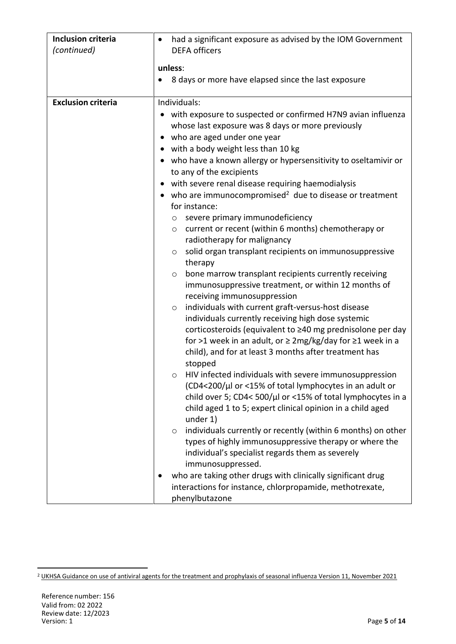| <b>Inclusion criteria</b> | had a significant exposure as advised by the IOM Government<br><b>DEFA</b> officers                                                                                                   |  |  |
|---------------------------|---------------------------------------------------------------------------------------------------------------------------------------------------------------------------------------|--|--|
| (continued)               |                                                                                                                                                                                       |  |  |
|                           | unless:                                                                                                                                                                               |  |  |
|                           | 8 days or more have elapsed since the last exposure                                                                                                                                   |  |  |
| <b>Exclusion criteria</b> | Individuals:                                                                                                                                                                          |  |  |
|                           | with exposure to suspected or confirmed H7N9 avian influenza<br>$\bullet$<br>whose last exposure was 8 days or more previously                                                        |  |  |
|                           | who are aged under one year<br>$\bullet$                                                                                                                                              |  |  |
|                           | with a body weight less than 10 kg<br>$\bullet$                                                                                                                                       |  |  |
|                           | who have a known allergy or hypersensitivity to oseltamivir or<br>to any of the excipients                                                                                            |  |  |
|                           | with severe renal disease requiring haemodialysis                                                                                                                                     |  |  |
|                           | who are immunocompromised <sup>2</sup> due to disease or treatment<br>$\bullet$                                                                                                       |  |  |
|                           | for instance:                                                                                                                                                                         |  |  |
|                           | severe primary immunodeficiency<br>$\circ$                                                                                                                                            |  |  |
|                           | current or recent (within 6 months) chemotherapy or<br>$\circ$<br>radiotherapy for malignancy                                                                                         |  |  |
|                           | solid organ transplant recipients on immunosuppressive<br>O<br>therapy                                                                                                                |  |  |
|                           | bone marrow transplant recipients currently receiving<br>$\circ$<br>immunosuppressive treatment, or within 12 months of<br>receiving immunosuppression                                |  |  |
|                           | individuals with current graft-versus-host disease<br>$\circ$                                                                                                                         |  |  |
|                           | individuals currently receiving high dose systemic                                                                                                                                    |  |  |
|                           | corticosteroids (equivalent to ≥40 mg prednisolone per day<br>for >1 week in an adult, or $\geq$ 2mg/kg/day for $\geq$ 1 week in a                                                    |  |  |
|                           | child), and for at least 3 months after treatment has<br>stopped                                                                                                                      |  |  |
|                           | HIV infected individuals with severe immunosuppression                                                                                                                                |  |  |
|                           | (CD4<200/µl or <15% of total lymphocytes in an adult or                                                                                                                               |  |  |
|                           | child over 5; CD4< 500/µl or <15% of total lymphocytes in a                                                                                                                           |  |  |
|                           | child aged 1 to 5; expert clinical opinion in a child aged<br>under 1)                                                                                                                |  |  |
|                           | individuals currently or recently (within 6 months) on other<br>$\circ$<br>types of highly immunosuppressive therapy or where the<br>individual's specialist regards them as severely |  |  |
|                           | immunosuppressed.                                                                                                                                                                     |  |  |
|                           | who are taking other drugs with clinically significant drug<br>interactions for instance, chlorpropamide, methotrexate,<br>phenylbutazone                                             |  |  |

 $\overline{a}$ 

<sup>2</sup> UKHSA Guidance on use of antiviral agents for the treatment and prophylaxis of seasonal influenza Version 11, November 2021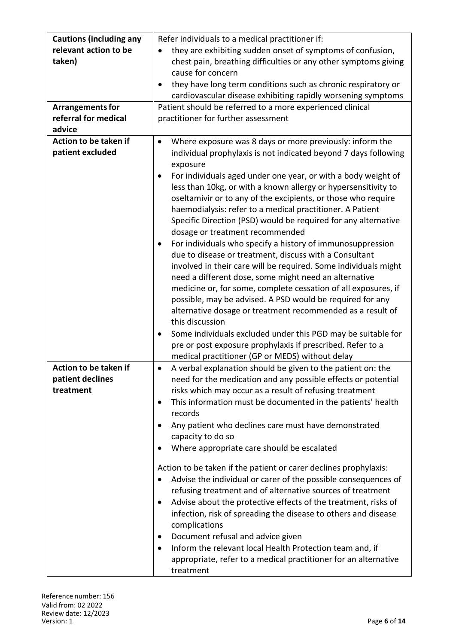| <b>Cautions (including any</b> | Refer individuals to a medical practitioner if:                             |
|--------------------------------|-----------------------------------------------------------------------------|
| relevant action to be          | they are exhibiting sudden onset of symptoms of confusion,                  |
| taken)                         | chest pain, breathing difficulties or any other symptoms giving             |
|                                | cause for concern                                                           |
|                                | they have long term conditions such as chronic respiratory or               |
|                                | cardiovascular disease exhibiting rapidly worsening symptoms                |
| <b>Arrangements for</b>        | Patient should be referred to a more experienced clinical                   |
| referral for medical           | practitioner for further assessment                                         |
| advice                         |                                                                             |
| Action to be taken if          | Where exposure was 8 days or more previously: inform the                    |
| patient excluded               | individual prophylaxis is not indicated beyond 7 days following             |
|                                | exposure                                                                    |
|                                | For individuals aged under one year, or with a body weight of<br>$\bullet$  |
|                                | less than 10kg, or with a known allergy or hypersensitivity to              |
|                                | oseltamivir or to any of the excipients, or those who require               |
|                                | haemodialysis: refer to a medical practitioner. A Patient                   |
|                                | Specific Direction (PSD) would be required for any alternative              |
|                                | dosage or treatment recommended                                             |
|                                | For individuals who specify a history of immunosuppression<br>٠             |
|                                | due to disease or treatment, discuss with a Consultant                      |
|                                | involved in their care will be required. Some individuals might             |
|                                | need a different dose, some might need an alternative                       |
|                                | medicine or, for some, complete cessation of all exposures, if              |
|                                | possible, may be advised. A PSD would be required for any                   |
|                                | alternative dosage or treatment recommended as a result of                  |
|                                | this discussion                                                             |
|                                | Some individuals excluded under this PGD may be suitable for                |
|                                | pre or post exposure prophylaxis if prescribed. Refer to a                  |
|                                | medical practitioner (GP or MEDS) without delay                             |
| Action to be taken if          | A verbal explanation should be given to the patient on: the<br>٠            |
| patient declines               | need for the medication and any possible effects or potential               |
| treatment                      | risks which may occur as a result of refusing treatment                     |
|                                | This information must be documented in the patients' health<br>٠            |
|                                | records                                                                     |
|                                | Any patient who declines care must have demonstrated                        |
|                                | capacity to do so                                                           |
|                                | Where appropriate care should be escalated                                  |
|                                |                                                                             |
|                                | Action to be taken if the patient or carer declines prophylaxis:            |
|                                | Advise the individual or carer of the possible consequences of              |
|                                | refusing treatment and of alternative sources of treatment                  |
|                                | Advise about the protective effects of the treatment, risks of<br>$\bullet$ |
|                                | infection, risk of spreading the disease to others and disease              |
|                                | complications                                                               |
|                                | Document refusal and advice given<br>$\bullet$                              |
|                                | Inform the relevant local Health Protection team and, if<br>$\bullet$       |
|                                | appropriate, refer to a medical practitioner for an alternative             |
|                                | treatment                                                                   |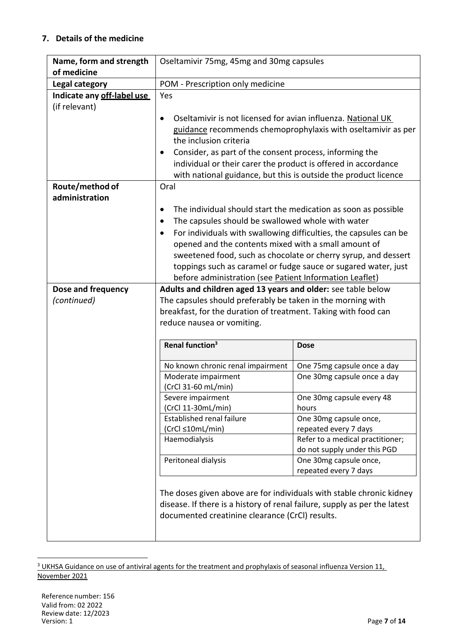## **7. Details of the medicine**

| Name, form and strength<br>of medicine      | Oseltamivir 75mg, 45mg and 30mg capsules                                                                                                                                                                                                                                                                                                                                                                                                                             |                                                        |  |
|---------------------------------------------|----------------------------------------------------------------------------------------------------------------------------------------------------------------------------------------------------------------------------------------------------------------------------------------------------------------------------------------------------------------------------------------------------------------------------------------------------------------------|--------------------------------------------------------|--|
| Legal category                              | POM - Prescription only medicine                                                                                                                                                                                                                                                                                                                                                                                                                                     |                                                        |  |
| Indicate any off-label use<br>(if relevant) | Yes<br>Oseltamivir is not licensed for avian influenza. National UK<br>$\bullet$<br>guidance recommends chemoprophylaxis with oseltamivir as per<br>the inclusion criteria<br>Consider, as part of the consent process, informing the<br>٠<br>individual or their carer the product is offered in accordance                                                                                                                                                         |                                                        |  |
|                                             | with national guidance, but this is outside the product licence                                                                                                                                                                                                                                                                                                                                                                                                      |                                                        |  |
| Route/method of<br>administration           | Oral<br>The individual should start the medication as soon as possible<br>The capsules should be swallowed whole with water<br>$\bullet$<br>For individuals with swallowing difficulties, the capsules can be<br>opened and the contents mixed with a small amount of<br>sweetened food, such as chocolate or cherry syrup, and dessert<br>toppings such as caramel or fudge sauce or sugared water, just<br>before administration (see Patient Information Leaflet) |                                                        |  |
| Dose and frequency                          | Adults and children aged 13 years and older: see table below                                                                                                                                                                                                                                                                                                                                                                                                         |                                                        |  |
| (continued)                                 | The capsules should preferably be taken in the morning with<br>breakfast, for the duration of treatment. Taking with food can<br>reduce nausea or vomiting.                                                                                                                                                                                                                                                                                                          |                                                        |  |
|                                             | Renal function <sup>3</sup>                                                                                                                                                                                                                                                                                                                                                                                                                                          | <b>Dose</b>                                            |  |
|                                             | No known chronic renal impairment                                                                                                                                                                                                                                                                                                                                                                                                                                    | One 75mg capsule once a day                            |  |
|                                             | Moderate impairment<br>(CrCl 31-60 mL/min)                                                                                                                                                                                                                                                                                                                                                                                                                           | One 30mg capsule once a day                            |  |
|                                             | Severe impairment<br>(CrCl 11-30mL/min)                                                                                                                                                                                                                                                                                                                                                                                                                              | One 30 mg capsule every 48<br>hours                    |  |
|                                             | <b>Established renal failure</b>                                                                                                                                                                                                                                                                                                                                                                                                                                     | One 30mg capsule once,                                 |  |
|                                             | (CrCl ≤10mL/min)                                                                                                                                                                                                                                                                                                                                                                                                                                                     | repeated every 7 days                                  |  |
|                                             | Haemodialysis                                                                                                                                                                                                                                                                                                                                                                                                                                                        | Refer to a medical practitioner;                       |  |
|                                             | Peritoneal dialysis                                                                                                                                                                                                                                                                                                                                                                                                                                                  | do not supply under this PGD<br>One 30mg capsule once, |  |
|                                             |                                                                                                                                                                                                                                                                                                                                                                                                                                                                      | repeated every 7 days                                  |  |
|                                             | The doses given above are for individuals with stable chronic kidney<br>disease. If there is a history of renal failure, supply as per the latest<br>documented creatinine clearance (CrCl) results.                                                                                                                                                                                                                                                                 |                                                        |  |

<sup>&</sup>lt;sup>3</sup> UKHSA Guidance on use of antiviral agents for the treatment and prophylaxis of seasonal influenza Version 11, November 2021

1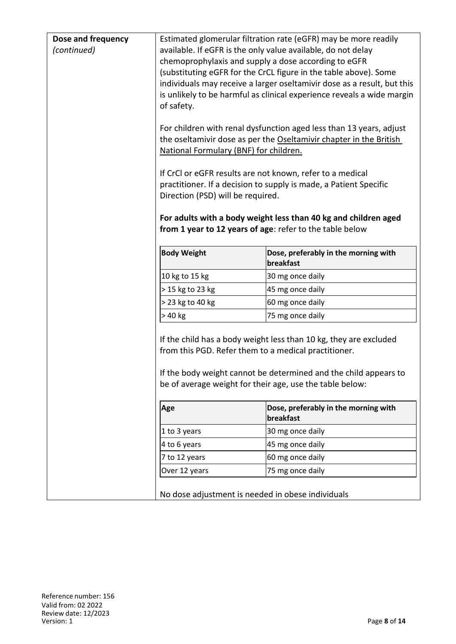| Dose and frequency<br>(continued) | Estimated glomerular filtration rate (eGFR) may be more readily<br>available. If eGFR is the only value available, do not delay<br>chemoprophylaxis and supply a dose according to eGFR<br>(substituting eGFR for the CrCL figure in the table above). Some<br>individuals may receive a larger oseltamivir dose as a result, but this<br>is unlikely to be harmful as clinical experience reveals a wide margin<br>of safety.<br>For children with renal dysfunction aged less than 13 years, adjust |                                                                                                                                                                                                                                                               |  |
|-----------------------------------|-------------------------------------------------------------------------------------------------------------------------------------------------------------------------------------------------------------------------------------------------------------------------------------------------------------------------------------------------------------------------------------------------------------------------------------------------------------------------------------------------------|---------------------------------------------------------------------------------------------------------------------------------------------------------------------------------------------------------------------------------------------------------------|--|
|                                   | the oseltamivir dose as per the Oseltamivir chapter in the British<br>National Formulary (BNF) for children.                                                                                                                                                                                                                                                                                                                                                                                          |                                                                                                                                                                                                                                                               |  |
|                                   | Direction (PSD) will be required.                                                                                                                                                                                                                                                                                                                                                                                                                                                                     | If CrCl or eGFR results are not known, refer to a medical<br>practitioner. If a decision to supply is made, a Patient Specific<br>For adults with a body weight less than 40 kg and children aged<br>from 1 year to 12 years of age: refer to the table below |  |
|                                   | <b>Body Weight</b>                                                                                                                                                                                                                                                                                                                                                                                                                                                                                    | Dose, preferably in the morning with<br>breakfast                                                                                                                                                                                                             |  |
|                                   | 10 kg to 15 kg                                                                                                                                                                                                                                                                                                                                                                                                                                                                                        | 30 mg once daily                                                                                                                                                                                                                                              |  |
|                                   | > 15 kg to 23 kg                                                                                                                                                                                                                                                                                                                                                                                                                                                                                      | 45 mg once daily                                                                                                                                                                                                                                              |  |
|                                   | > 23 kg to 40 kg                                                                                                                                                                                                                                                                                                                                                                                                                                                                                      | 60 mg once daily                                                                                                                                                                                                                                              |  |
|                                   | > 40 kg                                                                                                                                                                                                                                                                                                                                                                                                                                                                                               | 75 mg once daily                                                                                                                                                                                                                                              |  |
|                                   |                                                                                                                                                                                                                                                                                                                                                                                                                                                                                                       | If the child has a body weight less than 10 kg, they are excluded<br>from this PGD. Refer them to a medical practitioner.<br>If the body weight cannot be determined and the child appears to<br>be of average weight for their age, use the table below:     |  |
|                                   | Age                                                                                                                                                                                                                                                                                                                                                                                                                                                                                                   | Dose, preferably in the morning with<br>breakfast                                                                                                                                                                                                             |  |
|                                   | 1 to 3 years                                                                                                                                                                                                                                                                                                                                                                                                                                                                                          | 30 mg once daily                                                                                                                                                                                                                                              |  |
|                                   | 4 to 6 years                                                                                                                                                                                                                                                                                                                                                                                                                                                                                          | 45 mg once daily                                                                                                                                                                                                                                              |  |
|                                   | 7 to 12 years                                                                                                                                                                                                                                                                                                                                                                                                                                                                                         | 60 mg once daily                                                                                                                                                                                                                                              |  |
|                                   | Over 12 years                                                                                                                                                                                                                                                                                                                                                                                                                                                                                         | 75 mg once daily                                                                                                                                                                                                                                              |  |
|                                   |                                                                                                                                                                                                                                                                                                                                                                                                                                                                                                       | No dose adjustment is needed in obese individuals                                                                                                                                                                                                             |  |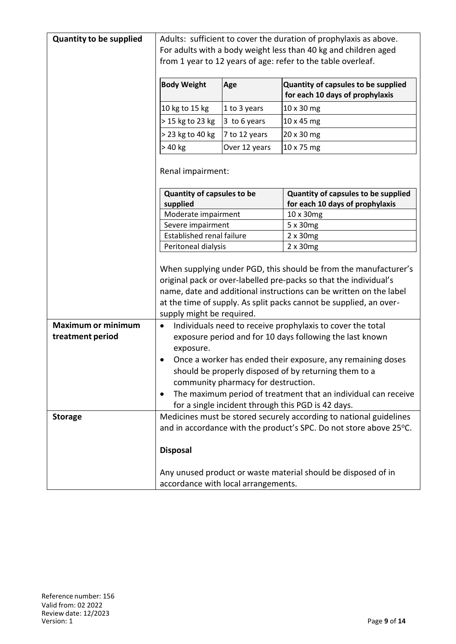| <b>Quantity to be supplied</b> | Adults: sufficient to cover the duration of prophylaxis as above.<br>For adults with a body weight less than 40 kg and children aged |                |                                                                        |
|--------------------------------|--------------------------------------------------------------------------------------------------------------------------------------|----------------|------------------------------------------------------------------------|
|                                | from 1 year to 12 years of age: refer to the table overleaf.                                                                         |                |                                                                        |
|                                | <b>Body Weight</b>                                                                                                                   | Age            | Quantity of capsules to be supplied<br>for each 10 days of prophylaxis |
|                                | 10 kg to 15 kg                                                                                                                       | 1 to 3 years   | 10 x 30 mg                                                             |
|                                | > 15 kg to 23 kg                                                                                                                     | $3$ to 6 years | 10 x 45 mg                                                             |
|                                | > 23 kg to 40 kg                                                                                                                     | 7 to 12 years  | 20 x 30 mg                                                             |
|                                | > 40 kg                                                                                                                              | Over 12 years  | 10 x 75 mg                                                             |
|                                |                                                                                                                                      |                |                                                                        |
|                                | Renal impairment:                                                                                                                    |                |                                                                        |
|                                | <b>Quantity of capsules to be</b>                                                                                                    |                | Quantity of capsules to be supplied                                    |
|                                | supplied                                                                                                                             |                | for each 10 days of prophylaxis                                        |
|                                | Moderate impairment                                                                                                                  |                | 10 x 30mg                                                              |
|                                | Severe impairment                                                                                                                    |                | 5 x 30mg                                                               |
|                                | <b>Established renal failure</b>                                                                                                     |                | $2 \times 30$ mg                                                       |
|                                | Peritoneal dialysis                                                                                                                  |                | $2 \times 30$ mg                                                       |
|                                | When supplying under PGD, this should be from the manufacturer's                                                                     |                |                                                                        |
|                                | original pack or over-labelled pre-packs so that the individual's                                                                    |                |                                                                        |
|                                | name, date and additional instructions can be written on the label                                                                   |                |                                                                        |
|                                | at the time of supply. As split packs cannot be supplied, an over-                                                                   |                |                                                                        |
|                                | supply might be required.                                                                                                            |                |                                                                        |
| <b>Maximum or minimum</b>      | Individuals need to receive prophylaxis to cover the total<br>$\bullet$                                                              |                |                                                                        |
| treatment period               |                                                                                                                                      |                | exposure period and for 10 days following the last known               |
|                                | exposure.                                                                                                                            |                |                                                                        |
|                                |                                                                                                                                      |                | Once a worker has ended their exposure, any remaining doses            |
|                                | should be properly disposed of by returning them to a<br>community pharmacy for destruction.                                         |                |                                                                        |
|                                | $\bullet$                                                                                                                            |                | The maximum period of treatment that an individual can receive         |
|                                |                                                                                                                                      |                | for a single incident through this PGD is 42 days.                     |
| <b>Storage</b>                 |                                                                                                                                      |                | Medicines must be stored securely according to national guidelines     |
|                                |                                                                                                                                      |                | and in accordance with the product's SPC. Do not store above 25°C.     |
|                                | <b>Disposal</b>                                                                                                                      |                |                                                                        |
|                                |                                                                                                                                      |                |                                                                        |
|                                | Any unused product or waste material should be disposed of in                                                                        |                |                                                                        |
|                                | accordance with local arrangements.                                                                                                  |                |                                                                        |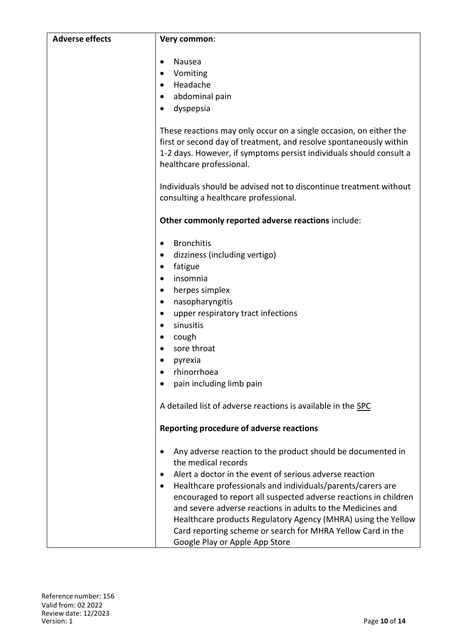| <b>Adverse effects</b> | Very common:                                                                                                                                                                                                                                                                                                                                                                                                                                                                                                                        |
|------------------------|-------------------------------------------------------------------------------------------------------------------------------------------------------------------------------------------------------------------------------------------------------------------------------------------------------------------------------------------------------------------------------------------------------------------------------------------------------------------------------------------------------------------------------------|
|                        | Nausea<br>Vomiting<br>٠<br>Headache<br>$\bullet$<br>abdominal pain<br>$\bullet$<br>dyspepsia                                                                                                                                                                                                                                                                                                                                                                                                                                        |
|                        | These reactions may only occur on a single occasion, on either the<br>first or second day of treatment, and resolve spontaneously within<br>1-2 days. However, if symptoms persist individuals should consult a<br>healthcare professional.                                                                                                                                                                                                                                                                                         |
|                        | Individuals should be advised not to discontinue treatment without<br>consulting a healthcare professional.                                                                                                                                                                                                                                                                                                                                                                                                                         |
|                        | Other commonly reported adverse reactions include:                                                                                                                                                                                                                                                                                                                                                                                                                                                                                  |
|                        | <b>Bronchitis</b><br>٠<br>dizziness (including vertigo)<br>$\bullet$<br>fatigue<br>٠<br>insomnia<br>herpes simplex<br>$\bullet$<br>nasopharyngitis<br>٠<br>upper respiratory tract infections<br>٠<br>sinusitis<br>$\bullet$<br>cough<br>sore throat<br>٠<br>pyrexia<br>rhinorrhoea<br>$\bullet$<br>pain including limb pain<br>A detailed list of adverse reactions is available in the SPC                                                                                                                                        |
|                        | Reporting procedure of adverse reactions                                                                                                                                                                                                                                                                                                                                                                                                                                                                                            |
|                        | Any adverse reaction to the product should be documented in<br>the medical records<br>Alert a doctor in the event of serious adverse reaction<br>$\bullet$<br>Healthcare professionals and individuals/parents/carers are<br>٠<br>encouraged to report all suspected adverse reactions in children<br>and severe adverse reactions in adults to the Medicines and<br>Healthcare products Regulatory Agency (MHRA) using the Yellow<br>Card reporting scheme or search for MHRA Yellow Card in the<br>Google Play or Apple App Store |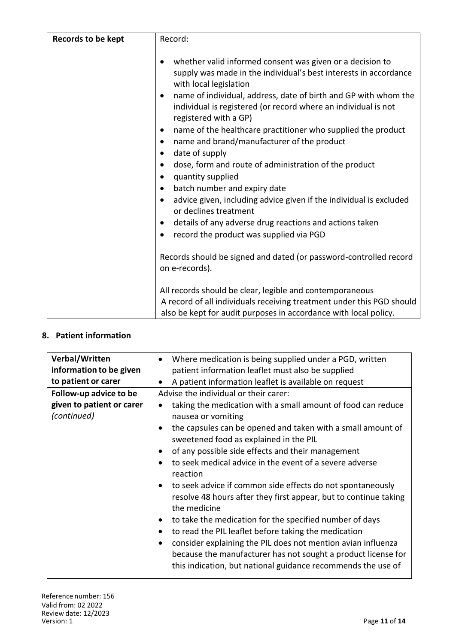| Records to be kept | Record:                                                                                                                                                                                                                                                                                                                                                                                                                                                                                                                                                                                                                                                                                                                                                                                                                                                                                                                 |
|--------------------|-------------------------------------------------------------------------------------------------------------------------------------------------------------------------------------------------------------------------------------------------------------------------------------------------------------------------------------------------------------------------------------------------------------------------------------------------------------------------------------------------------------------------------------------------------------------------------------------------------------------------------------------------------------------------------------------------------------------------------------------------------------------------------------------------------------------------------------------------------------------------------------------------------------------------|
|                    | whether valid informed consent was given or a decision to<br>supply was made in the individual's best interests in accordance<br>with local legislation<br>name of individual, address, date of birth and GP with whom the<br>٠<br>individual is registered (or record where an individual is not<br>registered with a GP)<br>name of the healthcare practitioner who supplied the product<br>٠<br>name and brand/manufacturer of the product<br>٠<br>date of supply<br>٠<br>dose, form and route of administration of the product<br>٠<br>quantity supplied<br>$\bullet$<br>batch number and expiry date<br>$\bullet$<br>advice given, including advice given if the individual is excluded<br>$\bullet$<br>or declines treatment<br>details of any adverse drug reactions and actions taken<br>٠<br>record the product was supplied via PGD<br>٠<br>Records should be signed and dated (or password-controlled record |
|                    | on e-records).                                                                                                                                                                                                                                                                                                                                                                                                                                                                                                                                                                                                                                                                                                                                                                                                                                                                                                          |
|                    | All records should be clear, legible and contemporaneous<br>A record of all individuals receiving treatment under this PGD should<br>also be kept for audit purposes in accordance with local policy.                                                                                                                                                                                                                                                                                                                                                                                                                                                                                                                                                                                                                                                                                                                   |

## **8. Patient information**

| Verbal/Written<br>Where medication is being supplied under a PGD, written<br>$\bullet$<br>information to be given<br>patient information leaflet must also be supplied<br>to patient or carer<br>A patient information leaflet is available on request<br>٠<br>Advise the individual or their carer:<br>Follow-up advice to be                                                                                                                                                                                                                                                                                                                                                                                                                                                                                                  |                           |                                                                           |
|---------------------------------------------------------------------------------------------------------------------------------------------------------------------------------------------------------------------------------------------------------------------------------------------------------------------------------------------------------------------------------------------------------------------------------------------------------------------------------------------------------------------------------------------------------------------------------------------------------------------------------------------------------------------------------------------------------------------------------------------------------------------------------------------------------------------------------|---------------------------|---------------------------------------------------------------------------|
|                                                                                                                                                                                                                                                                                                                                                                                                                                                                                                                                                                                                                                                                                                                                                                                                                                 |                           |                                                                           |
| (continued)<br>nausea or vomiting<br>the capsules can be opened and taken with a small amount of<br>$\bullet$<br>sweetened food as explained in the PIL<br>of any possible side effects and their management<br>$\bullet$<br>to seek medical advice in the event of a severe adverse<br>$\bullet$<br>reaction<br>to seek advice if common side effects do not spontaneously<br>$\bullet$<br>resolve 48 hours after they first appear, but to continue taking<br>the medicine<br>to take the medication for the specified number of days<br>٠<br>to read the PIL leaflet before taking the medication<br>$\bullet$<br>consider explaining the PIL does not mention avian influenza<br>$\bullet$<br>because the manufacturer has not sought a product license for<br>this indication, but national guidance recommends the use of | given to patient or carer | taking the medication with a small amount of food can reduce<br>$\bullet$ |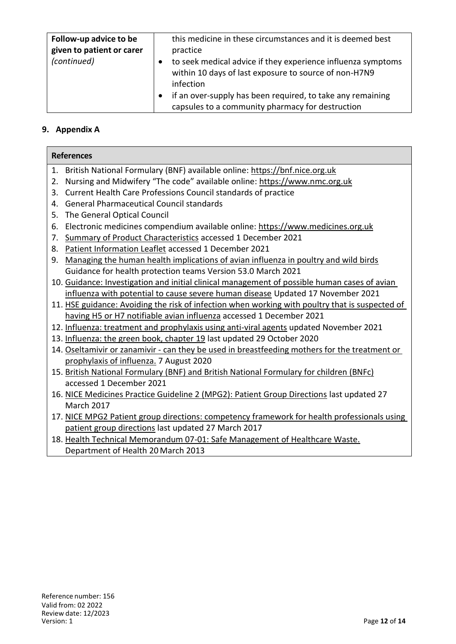| Follow-up advice to be<br>given to patient or carer<br>(continued) | this medicine in these circumstances and it is deemed best<br>practice<br>to seek medical advice if they experience influenza symptoms<br>within 10 days of last exposure to source of non-H7N9<br>infection |
|--------------------------------------------------------------------|--------------------------------------------------------------------------------------------------------------------------------------------------------------------------------------------------------------|
|                                                                    | if an over-supply has been required, to take any remaining<br>capsules to a community pharmacy for destruction                                                                                               |

## **9. Appendix A**

| <b>References</b>                                                                               |  |  |
|-------------------------------------------------------------------------------------------------|--|--|
| British National Formulary (BNF) available online: https://bnf.nice.org.uk<br>1.                |  |  |
| Nursing and Midwifery "The code" available online: https://www.nmc.org.uk<br>2.                 |  |  |
| Current Health Care Professions Council standards of practice<br>3.                             |  |  |
| <b>General Pharmaceutical Council standards</b><br>4.                                           |  |  |
| The General Optical Council<br>5.                                                               |  |  |
| Electronic medicines compendium available online: https://www.medicines.org.uk<br>6.            |  |  |
| Summary of Product Characteristics accessed 1 December 2021<br>7.                               |  |  |
| Patient Information Leaflet accessed 1 December 2021<br>8.                                      |  |  |
| Managing the human health implications of avian influenza in poultry and wild birds<br>9.       |  |  |
| Guidance for health protection teams Version 53.0 March 2021                                    |  |  |
| 10. Guidance: Investigation and initial clinical management of possible human cases of avian    |  |  |
| influenza with potential to cause severe human disease Updated 17 November 2021                 |  |  |
| 11. HSE guidance: Avoiding the risk of infection when working with poultry that is suspected of |  |  |
| having H5 or H7 notifiable avian influenza accessed 1 December 2021                             |  |  |
| 12. Influenza: treatment and prophylaxis using anti-viral agents updated November 2021          |  |  |
| 13. Influenza: the green book, chapter 19 last updated 29 October 2020                          |  |  |
| 14. Oseltamivir or zanamivir - can they be used in breastfeeding mothers for the treatment or   |  |  |
| prophylaxis of influenza. 7 August 2020                                                         |  |  |
| 15. British National Formulary (BNF) and British National Formulary for children (BNFc)         |  |  |
| accessed 1 December 2021                                                                        |  |  |
| 16. NICE Medicines Practice Guideline 2 (MPG2): Patient Group Directions last updated 27        |  |  |
| <b>March 2017</b>                                                                               |  |  |
| 17. NICE MPG2 Patient group directions: competency framework for health professionals using     |  |  |
| patient group directions last updated 27 March 2017                                             |  |  |
| 18. Health Technical Memorandum 07-01: Safe Management of Healthcare Waste.                     |  |  |
| Department of Health 20 March 2013                                                              |  |  |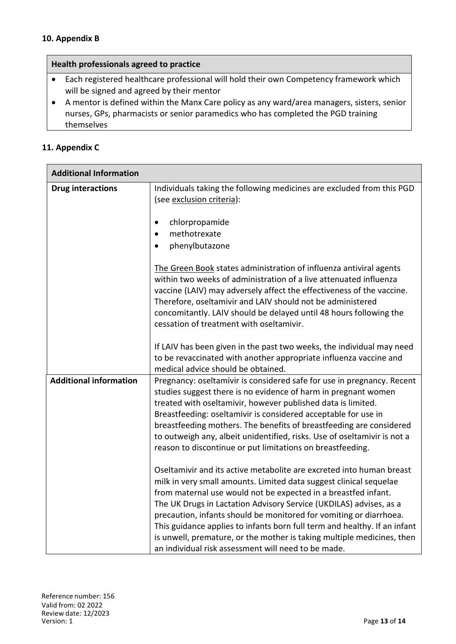#### **10. Appendix B**

#### **Health professionals agreed to practice**

- Each registered healthcare professional will hold their own Competency framework which will be signed and agreed by their mentor
- A mentor is defined within the Manx Care policy as any ward/area managers, sisters, senior nurses, GPs, pharmacists or senior paramedics who has completed the PGD training themselves

### **11. Appendix C**

| <b>Additional Information</b> |                                                                                                                                                                                                                                                                                |  |
|-------------------------------|--------------------------------------------------------------------------------------------------------------------------------------------------------------------------------------------------------------------------------------------------------------------------------|--|
| <b>Drug interactions</b>      | Individuals taking the following medicines are excluded from this PGD<br>(see exclusion criteria):                                                                                                                                                                             |  |
|                               | $\bullet$                                                                                                                                                                                                                                                                      |  |
|                               | chlorpropamide<br>methotrexate                                                                                                                                                                                                                                                 |  |
|                               | phenylbutazone                                                                                                                                                                                                                                                                 |  |
|                               |                                                                                                                                                                                                                                                                                |  |
|                               | The Green Book states administration of influenza antiviral agents<br>within two weeks of administration of a live attenuated influenza<br>vaccine (LAIV) may adversely affect the effectiveness of the vaccine.<br>Therefore, oseltamivir and LAIV should not be administered |  |
|                               | concomitantly. LAIV should be delayed until 48 hours following the<br>cessation of treatment with oseltamivir.                                                                                                                                                                 |  |
|                               | If LAIV has been given in the past two weeks, the individual may need                                                                                                                                                                                                          |  |
|                               | to be revaccinated with another appropriate influenza vaccine and                                                                                                                                                                                                              |  |
|                               | medical advice should be obtained.                                                                                                                                                                                                                                             |  |
| <b>Additional information</b> | Pregnancy: oseltamivir is considered safe for use in pregnancy. Recent                                                                                                                                                                                                         |  |
|                               | studies suggest there is no evidence of harm in pregnant women<br>treated with oseltamivir, however published data is limited.                                                                                                                                                 |  |
|                               | Breastfeeding: oseltamivir is considered acceptable for use in                                                                                                                                                                                                                 |  |
|                               | breastfeeding mothers. The benefits of breastfeeding are considered                                                                                                                                                                                                            |  |
|                               | to outweigh any, albeit unidentified, risks. Use of oseltamivir is not a                                                                                                                                                                                                       |  |
|                               | reason to discontinue or put limitations on breastfeeding.                                                                                                                                                                                                                     |  |
|                               | Oseltamivir and its active metabolite are excreted into human breast                                                                                                                                                                                                           |  |
|                               | milk in very small amounts. Limited data suggest clinical sequelae                                                                                                                                                                                                             |  |
|                               | from maternal use would not be expected in a breastfed infant.                                                                                                                                                                                                                 |  |
|                               | The UK Drugs in Lactation Advisory Service (UKDILAS) advises, as a                                                                                                                                                                                                             |  |
|                               | precaution, infants should be monitored for vomiting or diarrhoea.                                                                                                                                                                                                             |  |
|                               | This guidance applies to infants born full term and healthy. If an infant<br>is unwell, premature, or the mother is taking multiple medicines, then                                                                                                                            |  |
|                               | an individual risk assessment will need to be made.                                                                                                                                                                                                                            |  |